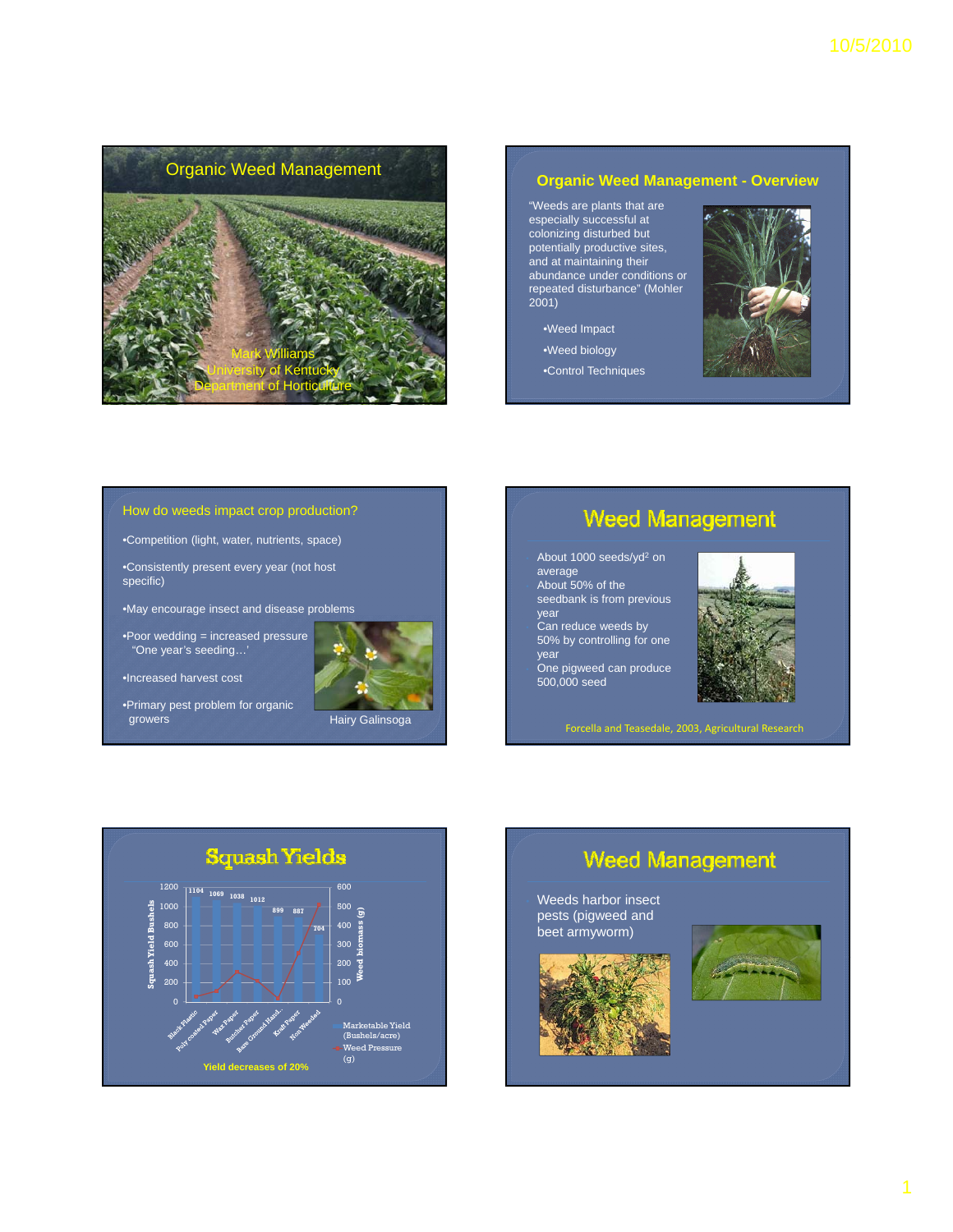

# **Organic Weed Management - Overview**

"Weeds are plants that are especially successful at colonizing disturbed but potentially productive sites, and at maintaining their abundance under conditions or abundance under conditions repeated disturbance" (Mohler 2001)

- •Weed Impact
- •Weed biology
- •Control Techniques



## How do weeds impact crop production?

•Competition (light, water, nutrients, space)

•Consistently present every year (not host specific)

•May encourage insect and disease problems

•Poor wedding = increased pressure "One year's seeding…'



•Increased harvest cost

•Primary pest problem for organic



# **Weed Management**

About 1000 seeds/yd<sup>2</sup> on average • About 50% of the seedbank is from previous year • Can reduce weeds by 50% by controlling for one year • One pigweed can produce 500,000 seed



Forcella and Teasedale, 2003, Agricultural Research



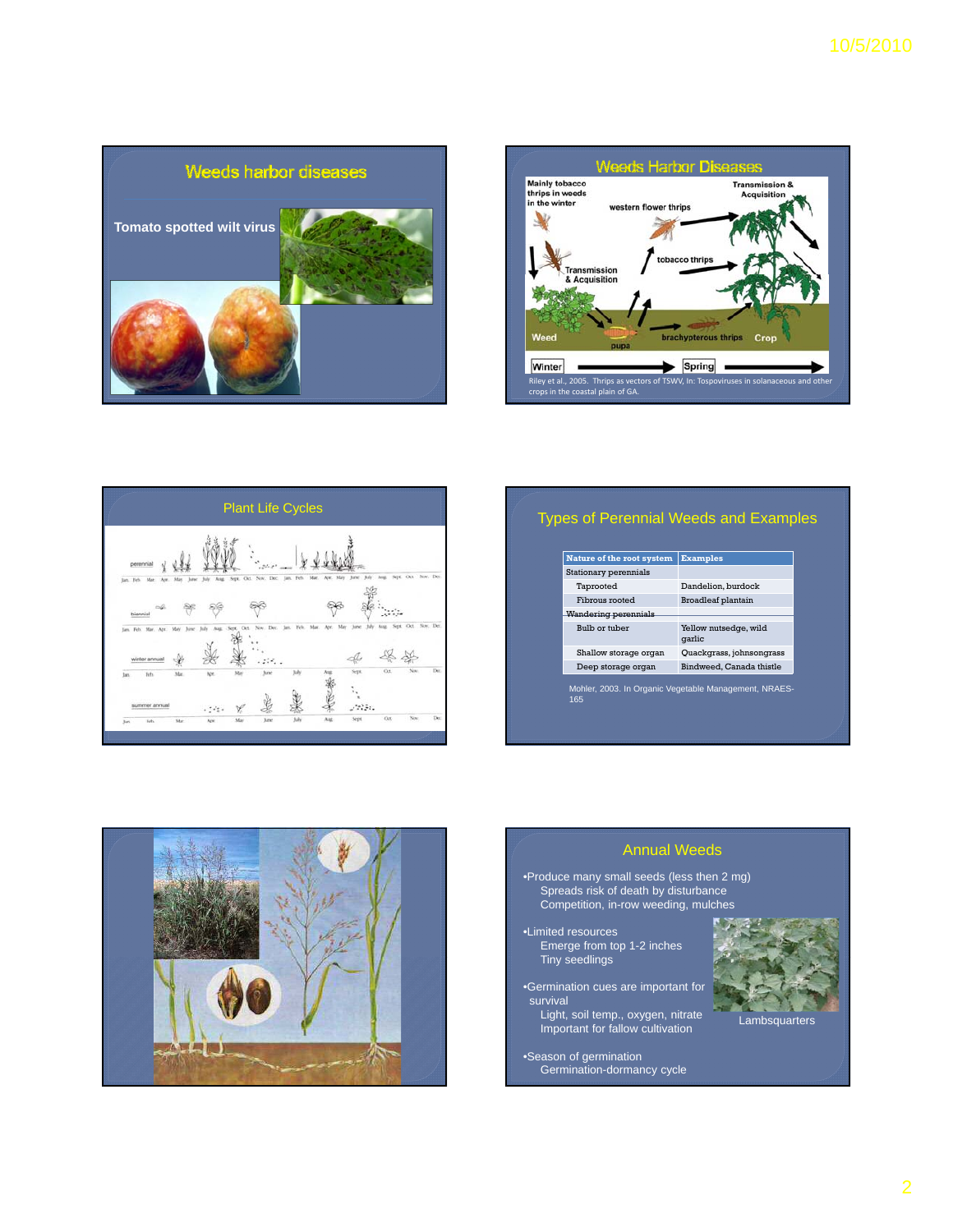





| Stationary perennials |                                 |
|-----------------------|---------------------------------|
| Taprooted             | Dandelion, burdock              |
| Fibrous rooted        | <b>Broadleaf plantain</b>       |
| Wandering perennials  |                                 |
| Bulb or tuber         | Yellow nutsedge, wild<br>qarlic |
| Shallow storage organ | Quackgrass, johnsongrass        |
| Deep storage organ    | Bindweed, Canada thistle        |



# Annual Weeds •Produce many small seeds (less then 2 mg) Spreads risk of death by disturbance Competition, in-row weeding, mulches •Limited resources Emerge from top 1-2 inches Tiny seedlings •Germination cues are important for

survival

•Season of germination

Light, soil temp., oxygen, nitrate Important for fallow cultivation

Germination-dormancy cycle

**Lambsquarters**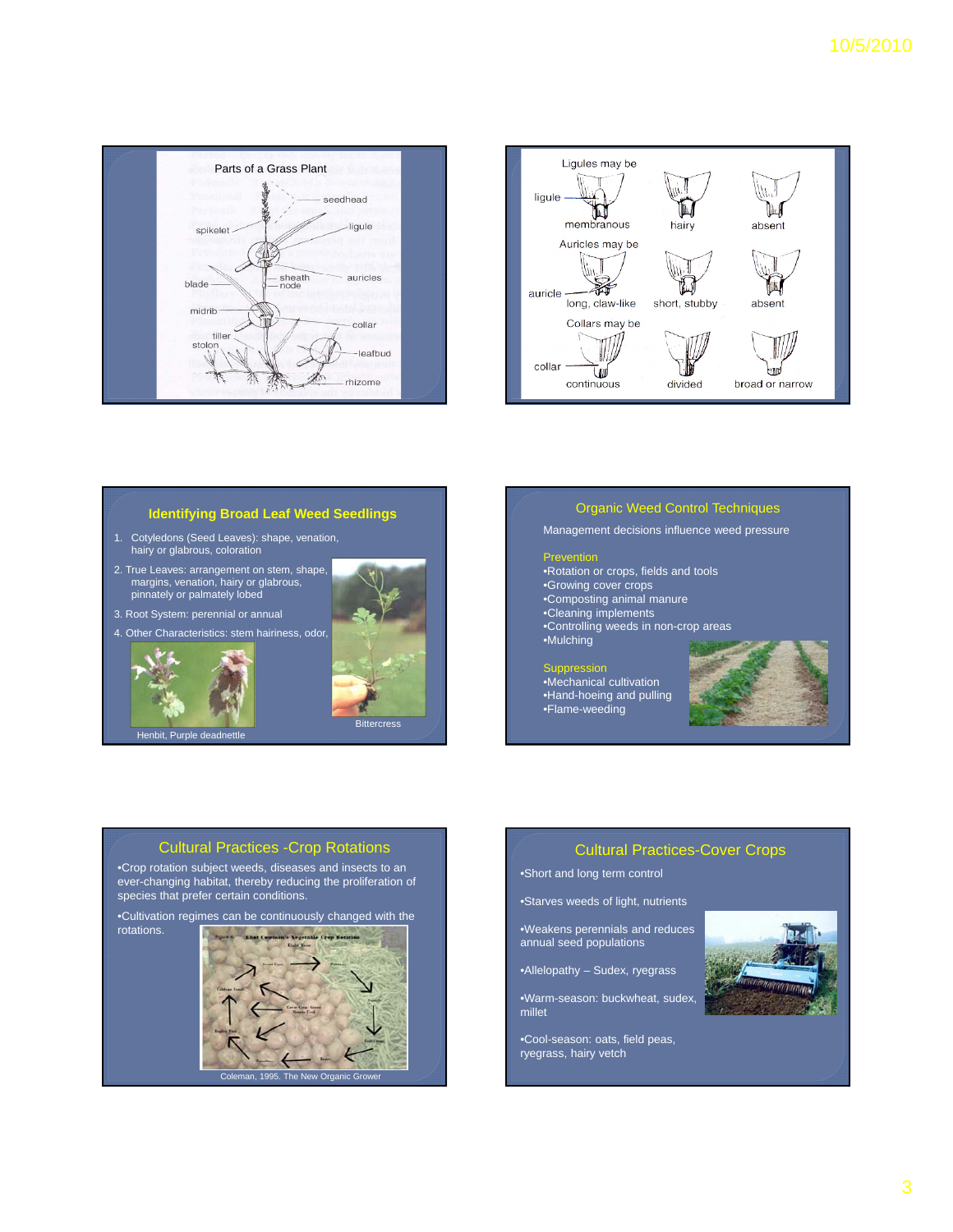



# **Identifying Broad Leaf Weed Seedlings**

- 1. Cotyledons (Seed Leaves): shape, venation, hairy or glabrous, coloration
- 2. True Leaves: arrangement on stem, shape, margins, venation, hairy or glabrous, pinnately or palmately lobed
- 3 Root System: perennial or annual 3. Root System: perennial or





Henbit, Purple deadnettl

# Organic Weed Control Techniques

Management decisions influence weed pressure

### ntion

- •Rotation or crops, fields and tools
- •Growing cover crops
- •Composting animal manure
- •Cleaning implements
- •Controlling weeds in non-crop areas •Mulching

#### Suppression

- •Mechanical cultivation •Hand-hoeing and pulling
- •Flame-weeding



# Cultural Practices -Crop Rotations

**Bittercress** 

•Crop rotation subject weeds, diseases and insects to an ever-changing habitat, thereby reducing the proliferation of species that prefer certain conditions.

rotations.



# Cultural Practices-Cover Crops

•Short and long term control

•Starves weeds of light, nutrients

•Weakens perennials and reduces annual seed populations

•Allelopathy – Sudex, ryegrass

•Warm-season: buckwheat, sudex, millet

•Cool-season: oats, field peas, ryegrass, hairy vetch